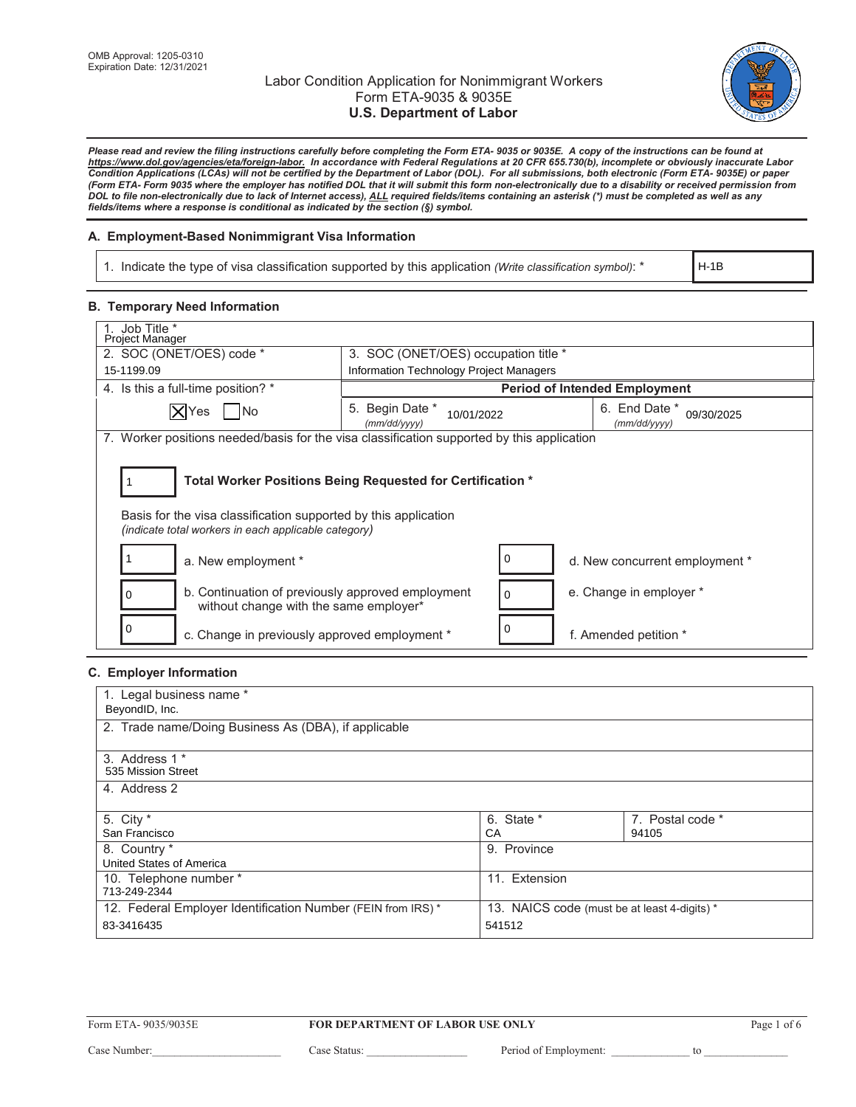

*Please read and review the filing instructions carefully before completing the Form ETA- 9035 or 9035E. A copy of the instructions can be found at https:/www.dol.gov/agencies/eta/foreign-labor. In accordance with Federal Regulations at 20 CFR 655.730(b), incomplete or obviously inaccurate Labor Condition Applications (LCAs) will not be certified by the Department of Labor (DOL). For all submissions, both electronic (Form ETA- 9035E) or paper (Form ETA- Form 9035 where the employer has notified DOL that it will submit this form non-electronically due to a disability or received permission from DOL to file non-electronically due to lack of Internet access), ALL required fields/items containing an asterisk (\*) must be completed as well as any fields/items where a response is conditional as indicated by the section (§) symbol.* 

## **A. Employment-Based Nonimmigrant Visa Information**

1. Indicate the type of visa classification supported by this application (Write classification symbol): \*

H-1B

### **B. Temporary Need Information**

| Job Title *<br>Project Manager                                                                                                                                                        |                                               |                                             |  |  |
|---------------------------------------------------------------------------------------------------------------------------------------------------------------------------------------|-----------------------------------------------|---------------------------------------------|--|--|
| 2. SOC (ONET/OES) code *<br>3. SOC (ONET/OES) occupation title *                                                                                                                      |                                               |                                             |  |  |
| 15-1199.09                                                                                                                                                                            | Information Technology Project Managers       |                                             |  |  |
| 4. Is this a full-time position? *                                                                                                                                                    |                                               | <b>Period of Intended Employment</b>        |  |  |
| XYes   No                                                                                                                                                                             | 5. Begin Date *<br>10/01/2022<br>(mm/dd/yyyy) | 6. End Date *<br>09/30/2025<br>(mm/dd/yyyy) |  |  |
| 7. Worker positions needed/basis for the visa classification supported by this application                                                                                            |                                               |                                             |  |  |
| Total Worker Positions Being Requested for Certification *<br>Basis for the visa classification supported by this application<br>(indicate total workers in each applicable category) |                                               |                                             |  |  |
| a. New employment *                                                                                                                                                                   |                                               | d. New concurrent employment *              |  |  |
| b. Continuation of previously approved employment<br>$\Omega$<br>without change with the same employer*                                                                               |                                               | e. Change in employer *                     |  |  |
| 0<br>c. Change in previously approved employment *                                                                                                                                    |                                               | f. Amended petition *                       |  |  |

### **C. Employer Information**

| 1. Legal business name *                                    |                                              |                  |  |  |
|-------------------------------------------------------------|----------------------------------------------|------------------|--|--|
| BeyondID, Inc.                                              |                                              |                  |  |  |
| 2. Trade name/Doing Business As (DBA), if applicable        |                                              |                  |  |  |
| 3. Address 1 *                                              |                                              |                  |  |  |
| 535 Mission Street                                          |                                              |                  |  |  |
| 4. Address 2                                                |                                              |                  |  |  |
|                                                             |                                              |                  |  |  |
| 5. City *                                                   | 6. State *                                   | 7. Postal code * |  |  |
| San Francisco                                               | СA                                           | 94105            |  |  |
| 8. Country *                                                | 9. Province                                  |                  |  |  |
| United States of America                                    |                                              |                  |  |  |
| 10. Telephone number *                                      | 11. Extension                                |                  |  |  |
| 713-249-2344                                                |                                              |                  |  |  |
| 12. Federal Employer Identification Number (FEIN from IRS)* | 13. NAICS code (must be at least 4-digits) * |                  |  |  |
| 83-3416435                                                  | 541512                                       |                  |  |  |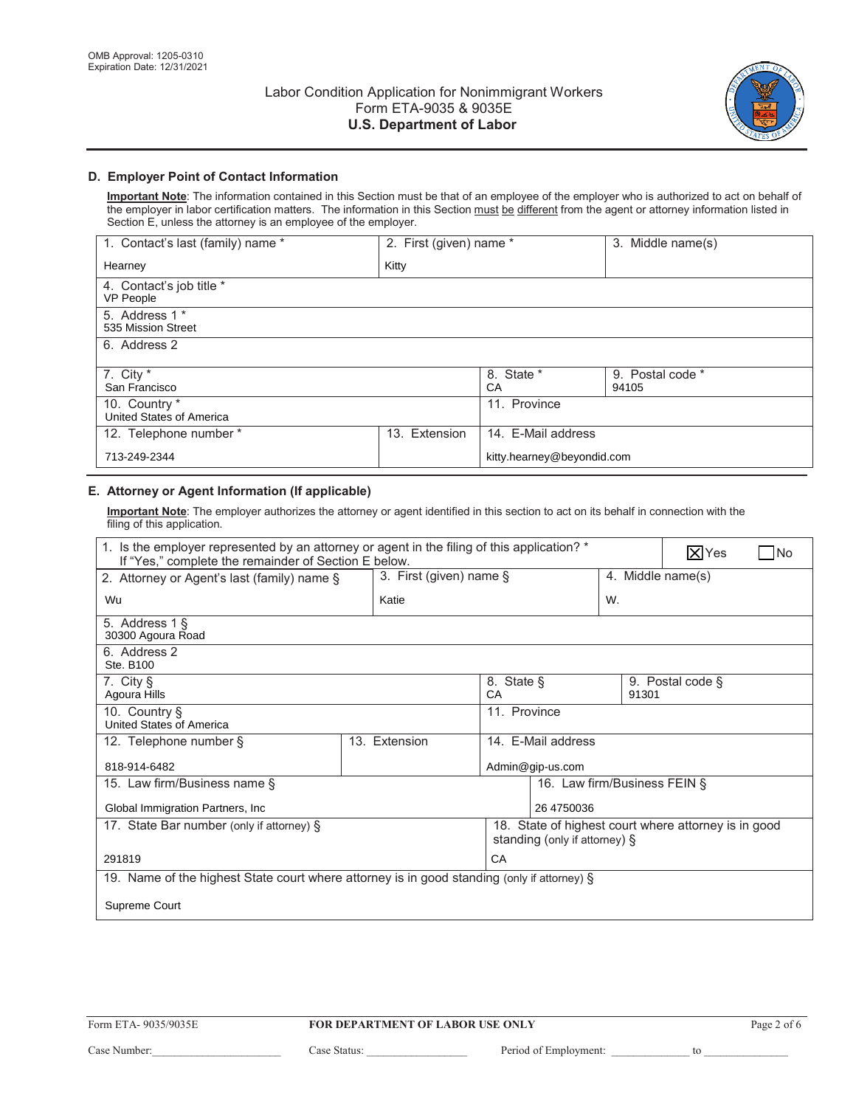

# **D. Employer Point of Contact Information**

Important Note: The information contained in this Section must be that of an employee of the employer who is authorized to act on behalf of the employer in labor certification matters. The information in this Section must be different from the agent or attorney information listed in Section  $E$ , unless the attorney is an employee of the employer.

| 1. Contact's last (family) name *         | 2. First (given) name * |                            | 3. Middle name(s)         |
|-------------------------------------------|-------------------------|----------------------------|---------------------------|
| Hearney                                   | Kitty                   |                            |                           |
| 4. Contact's job title *<br>VP People     |                         |                            |                           |
| 5. Address 1 *<br>535 Mission Street      |                         |                            |                           |
| 6. Address 2                              |                         |                            |                           |
| 7. City $*$<br>San Francisco              |                         | 8. State *<br>СA           | 9. Postal code *<br>94105 |
| 10. Country *<br>United States of America |                         | 11. Province               |                           |
| 12. Telephone number *                    | Extension<br>13.        | 14. E-Mail address         |                           |
| 713-249-2344                              |                         | kitty.hearney@beyondid.com |                           |

# **E. Attorney or Agent Information (If applicable)**

Important Note: The employer authorizes the attorney or agent identified in this section to act on its behalf in connection with the filing of this application.

| 1. Is the employer represented by an attorney or agent in the filing of this application? *<br>If "Yes," complete the remainder of Section E below. |                            |                  |                               | $ \mathsf{X} $ Yes | N٥                                                   |  |
|-----------------------------------------------------------------------------------------------------------------------------------------------------|----------------------------|------------------|-------------------------------|--------------------|------------------------------------------------------|--|
| 2. Attorney or Agent's last (family) name §                                                                                                         | 3. First (given) name $\S$ |                  |                               |                    | 4. Middle name(s)                                    |  |
| Wu                                                                                                                                                  | Katie                      |                  | W.                            |                    |                                                      |  |
| 5. Address 1 §<br>30300 Agoura Road                                                                                                                 |                            |                  |                               |                    |                                                      |  |
| 6. Address 2<br>Ste. B100                                                                                                                           |                            |                  |                               |                    |                                                      |  |
| 7. City §<br>8. State §<br>CA<br>Agoura Hills                                                                                                       |                            |                  |                               | 91301              | 9. Postal code §                                     |  |
| 10. Country §<br>United States of America                                                                                                           |                            | 11. Province     |                               |                    |                                                      |  |
| 12. Telephone number §                                                                                                                              | 13. Extension              |                  | 14. E-Mail address            |                    |                                                      |  |
| 818-914-6482                                                                                                                                        |                            | Admin@gip-us.com |                               |                    |                                                      |  |
| 15. Law firm/Business name §                                                                                                                        |                            |                  | 16. Law firm/Business FEIN §  |                    |                                                      |  |
| Global Immigration Partners, Inc.                                                                                                                   |                            |                  | 26 4750036                    |                    |                                                      |  |
| 17. State Bar number (only if attorney) §                                                                                                           |                            |                  | standing (only if attorney) § |                    | 18. State of highest court where attorney is in good |  |
| CA<br>291819                                                                                                                                        |                            |                  |                               |                    |                                                      |  |
| 19. Name of the highest State court where attorney is in good standing (only if attorney) §                                                         |                            |                  |                               |                    |                                                      |  |
| Supreme Court                                                                                                                                       |                            |                  |                               |                    |                                                      |  |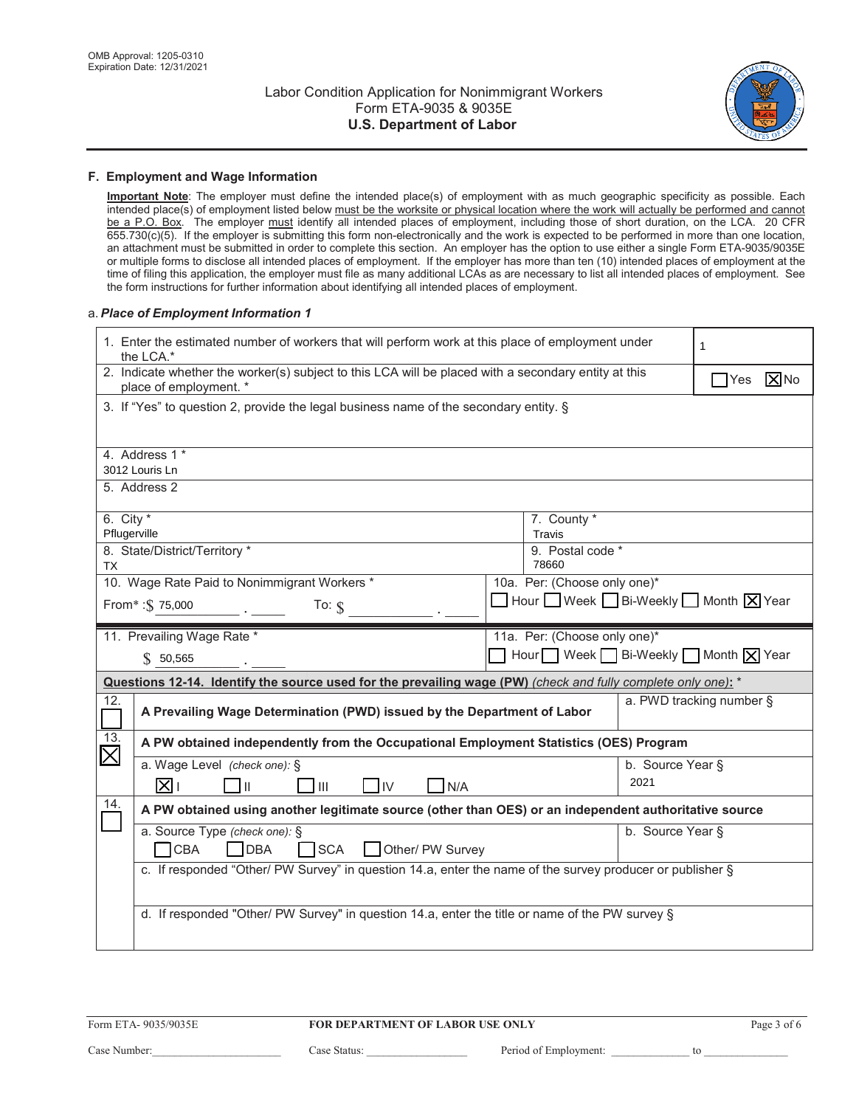

#### F. Employment and Wage Information

Important Note: The employer must define the intended place(s) of employment with as much geographic specificity as possible. Each intended place(s) of employment listed below must be the worksite or physical location where the work will actually be performed and cannot<br>be a P.O. Box. The employer must identify all intended places of employment, inclu 655.730(c)(5). If the employer is submitting this form non-electronically and the work is expected to be performed in more than one location, an attachment must be submitted in order to complete this section. An employer has the option to use either a single Form ETA-9035/9035E or multiple forms to disclose all intended places of employment. If the employer has more than ten (10) intended places of employment at the time of filing this application, the employer must file as many additional LCAs as are necessary to list all intended places of employment. See the form instructions for further information about identifying all intended places of employment.

#### a. Place of Employment Information 1

|                         | 1. Enter the estimated number of workers that will perform work at this place of employment under<br>the LCA.*                 |  |                                  |                  |                                    |  |  |
|-------------------------|--------------------------------------------------------------------------------------------------------------------------------|--|----------------------------------|------------------|------------------------------------|--|--|
|                         | 2. Indicate whether the worker(s) subject to this LCA will be placed with a secondary entity at this<br>place of employment. * |  |                                  |                  | $ \overline{X} $ No<br><b>TYes</b> |  |  |
|                         | 3. If "Yes" to question 2, provide the legal business name of the secondary entity. §                                          |  |                                  |                  |                                    |  |  |
|                         | 4. Address 1 *                                                                                                                 |  |                                  |                  |                                    |  |  |
|                         | 3012 Louris Ln<br>5. Address 2                                                                                                 |  |                                  |                  |                                    |  |  |
|                         |                                                                                                                                |  |                                  |                  |                                    |  |  |
| 6. City $*$             |                                                                                                                                |  | 7. County *                      |                  |                                    |  |  |
| Pflugerville            | 8. State/District/Territory *                                                                                                  |  | Travis<br>9. Postal code *       |                  |                                    |  |  |
| <b>TX</b>               |                                                                                                                                |  | 78660                            |                  |                                    |  |  |
|                         | 10. Wage Rate Paid to Nonimmigrant Workers *                                                                                   |  | 10a. Per: (Choose only one)*     |                  |                                    |  |  |
|                         | From*: \$75,000<br>To: $$$                                                                                                     |  | Hour Week Bi-Weekly Month X Year |                  |                                    |  |  |
|                         | 11. Prevailing Wage Rate *                                                                                                     |  | 11a. Per: (Choose only one)*     |                  |                                    |  |  |
|                         | \$50,565                                                                                                                       |  | Hour Week Bi-Weekly Month X Year |                  |                                    |  |  |
|                         | Questions 12-14. Identify the source used for the prevailing wage (PW) (check and fully complete only one): *                  |  |                                  |                  |                                    |  |  |
| 12.                     | A Prevailing Wage Determination (PWD) issued by the Department of Labor                                                        |  |                                  |                  | a. PWD tracking number §           |  |  |
| 13.                     | A PW obtained independently from the Occupational Employment Statistics (OES) Program                                          |  |                                  |                  |                                    |  |  |
| $\overline{\mathsf{X}}$ | a. Wage Level (check one): §                                                                                                   |  |                                  | b. Source Year § |                                    |  |  |
|                         | l⊠⊥<br>Ш<br>III<br><b>IIV</b><br>N/A                                                                                           |  |                                  | 2021             |                                    |  |  |
| 14.                     | A PW obtained using another legitimate source (other than OES) or an independent authoritative source                          |  |                                  |                  |                                    |  |  |
|                         | a. Source Type (check one): §                                                                                                  |  |                                  | b. Source Year § |                                    |  |  |
|                         | <b>CBA</b><br><b>SCA</b><br>Other/ PW Survey<br><b>DBA</b>                                                                     |  |                                  |                  |                                    |  |  |
|                         | c. If responded "Other/ PW Survey" in question 14.a, enter the name of the survey producer or publisher §                      |  |                                  |                  |                                    |  |  |
|                         |                                                                                                                                |  |                                  |                  |                                    |  |  |
|                         | d. If responded "Other/ PW Survey" in question 14.a, enter the title or name of the PW survey §                                |  |                                  |                  |                                    |  |  |
|                         |                                                                                                                                |  |                                  |                  |                                    |  |  |

to to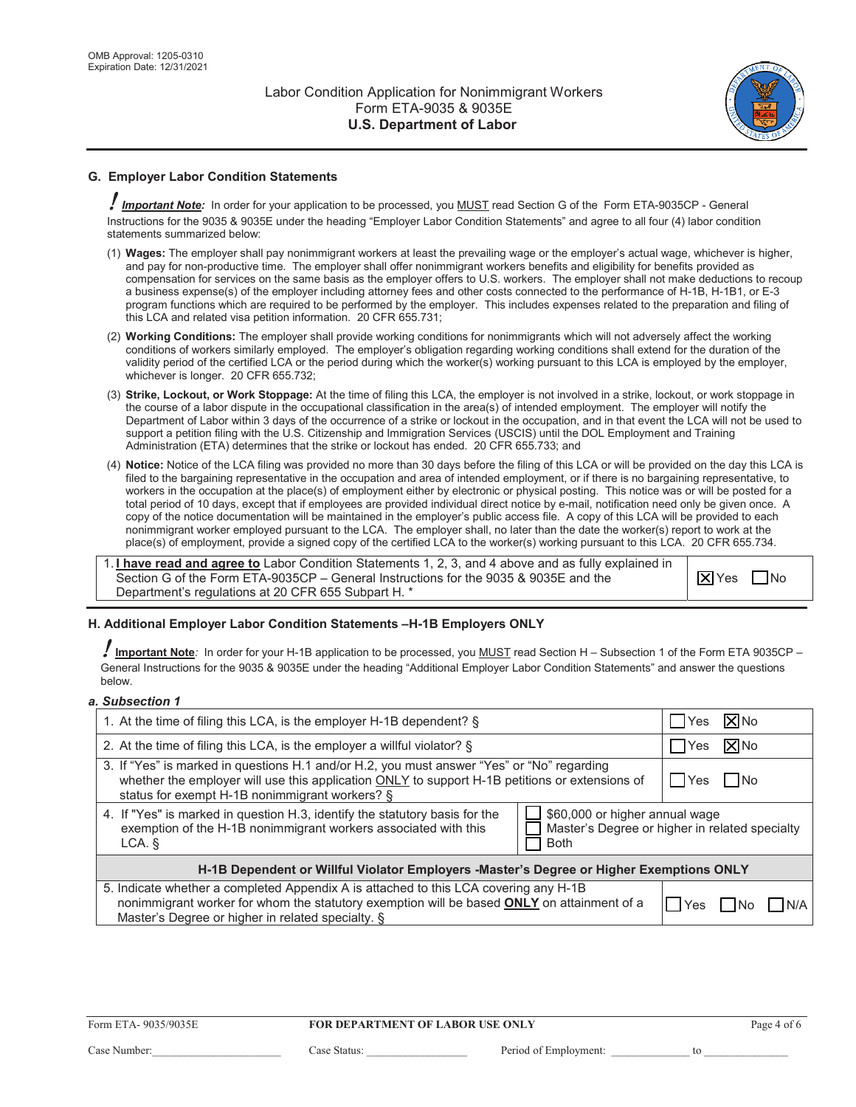

# **G. Employer Labor Condition Statements**

 $\rlap{!}$  Important Note: In order for your application to be processed, you <u>MUST</u> read Section G of the Form ETA-9035CP - General Instructions for the 9035 & 9035E under the heading "Employer Labor Condition Statements" and agree to all four (4) labor condition statements summarized below:

- (1) Wages: The employer shall pay nonimmigrant workers at least the prevailing wage or the employer's actual wage, whichever is higher, and pay for non-productive time. The emplover shall offer nonimmigrant workers benefits and eligibility for benefits provided as compensation for services on the same basis as the employer offers to U.S. workers. The employer shall not make deductions to recoup a business expense(s) of the employer including attorney fees and other costs connected to the performance of H-1B, H-1B1, or E-3 program functions which are required to be performed by the employer. This includes expenses related to the preparation and filing of this LCA and related visa petition information. 20 CFR 655.731;
- (2) Working Conditions: The employer shall provide working conditions for nonimmigrants which will not adversely affect the working conditions of workers similarly employed. The employer's obligation regarding working conditions shall extend for the duration of the validity period of the certified LCA or the period during which the worker(s) working pursuant to this LCA is employed by the employer, whichever is longer. 20 CFR 655.732;
- (3) **Strike, Lockout, or Work Stoppage:** At the time of filing this LCA, the employer is not involved in a strike, lockout, or work stoppage in the course of a labor dispute in the occupational classification in the area(s) of intended employment. The employer will notify the Department of Labor within 3 days of the occurrence of a strike or lockout in the occupation, and in that event the LCA will not be used to support a petition filing with the U.S. Citizenship and Immigration Services (USCIS) until the DOL Employment and Training Administration (ETA) determines that the strike or lockout has ended. 20 CFR 655.733; and
- (4) Notice: Notice of the LCA filing was provided no more than 30 days before the filing of this LCA or will be provided on the day this LCA is filed to the bargaining representative in the occupation and area of intended employment, or if there is no bargaining representative, to workers in the occupation at the place(s) of employment either by electronic or physical posting. This notice was or will be posted for a total period of 10 days, except that if employees are provided individual direct notice by e-mail, notification need only be given once. A copy of the notice documentation will be maintained in the employer's public access file. A copy of this LCA will be provided to each nonimmigrant worker employed pursuant to the LCA. The employer shall, no later than the date the worker(s) report to work at the place(s) of employment, provide a signed copy of the certified LCA to the worker(s) working pursuant to this LCA. 20 CFR 655.734.

1. **I have read and agree to** Labor Condition Statements 1, 2, 3, and 4 above and as fully explained in Section G of the Form ETA-9035CP - General Instructions for the 9035 & 9035E and the Department's regulations at 20 CFR 655 Subpart H. \*

 $\boxed{\mathsf{X}}$  Yes  $\boxed{\phantom{1}}$  No

### **H. Additional Employer Labor Condition Statements –H-1B Employers ONLY**

 $\rlap{J}$  <u>Important Note</u>*:* In order for your H-1B application to be processed, you <u>MUST</u> read Section H – Subsection 1 of the Form ETA 9035CP – General Instructions for the 9035 & 9035E under the heading "Additional Employer Labor Condition Statements" and answer the questions below.

#### *a. Subsection 1*

| 1. At the time of filing this LCA, is the employer H-1B dependent? §                                                                                                                                                                           | XINo<br>Yes                                    |
|------------------------------------------------------------------------------------------------------------------------------------------------------------------------------------------------------------------------------------------------|------------------------------------------------|
| 2. At the time of filing this LCA, is the employer a willful violator? $\S$                                                                                                                                                                    | <b>XI</b> No<br>Yes                            |
| 3. If "Yes" is marked in questions H.1 and/or H.2, you must answer "Yes" or "No" regarding<br>whether the employer will use this application ONLY to support H-1B petitions or extensions of<br>status for exempt H-1B nonimmigrant workers? § | I IYes<br>-I No                                |
| \$60,000 or higher annual wage<br>4. If "Yes" is marked in question H.3, identify the statutory basis for the<br>exemption of the H-1B nonimmigrant workers associated with this<br>LCA.<br><b>Both</b>                                        | Master's Degree or higher in related specialty |
| H-1B Dependent or Willful Violator Employers -Master's Degree or Higher Exemptions ONLY                                                                                                                                                        |                                                |
| 5. Indicate whether a completed Appendix A is attached to this LCA covering any H-1B<br>nonimmigrant worker for whom the statutory exemption will be based <b>ONLY</b> on attainment of a<br>Master's Degree or higher in related specialty. § | Yes                                            |

Form ETA-9035/9035E **FOR DEPARTMENT OF LABOR USE ONLY** Page 4 of 6 Case Number: Case Status: Case Status: Period of Employment: to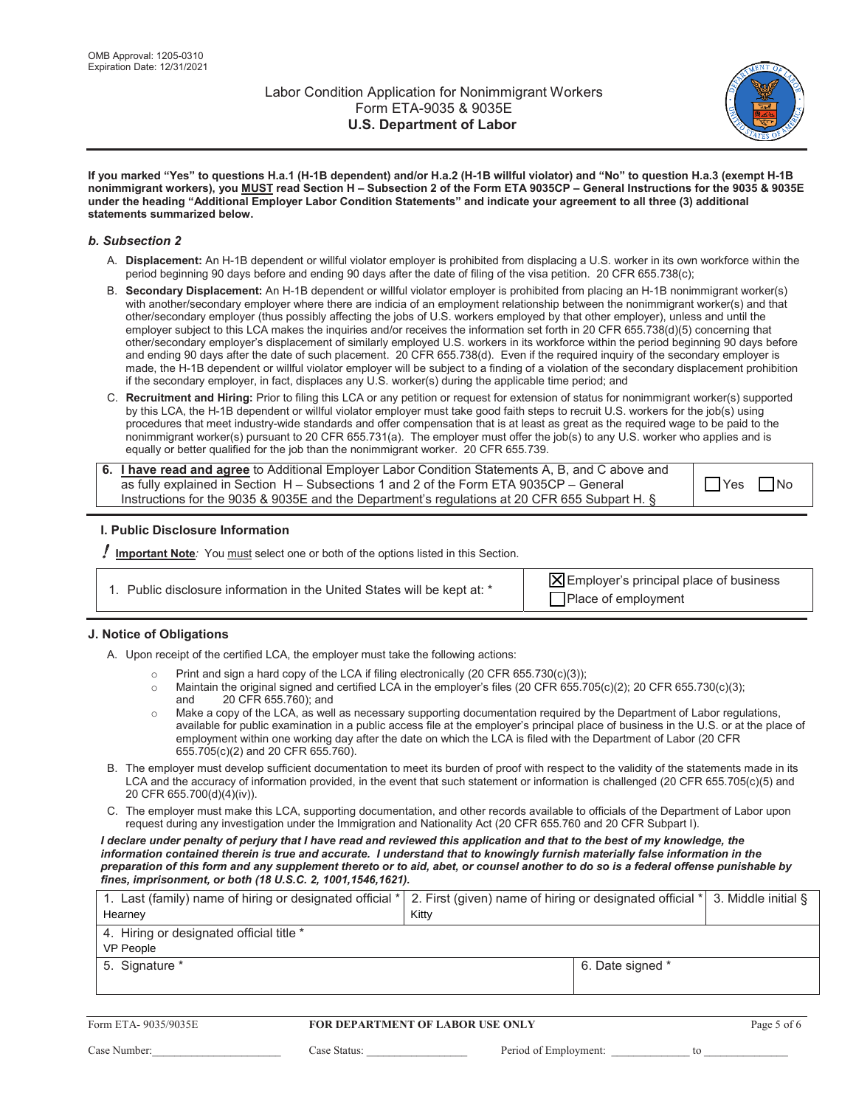

**If you marked "Yes" to questions H.a.1 (H-1B dependent) and/or H.a.2 (H-1B willful violator) and "No" to question H.a.3 (exempt H-1B nonimmigrant workers), you MUST read Section H – Subsection 2 of the Form ETA 9035CP – General Instructions for the 9035 & 9035E under the heading "Additional Employer Labor Condition Statements" and indicate your agreement to all three (3) additional statements summarized below.**

#### *b. Subsection 2*

- A. Displacement: An H-1B dependent or willful violator employer is prohibited from displacing a U.S. worker in its own workforce within the period beginning 90 days before and ending 90 days after the date of filing of the visa petition. 20 CFR 655.738(c);
- B. Secondary Displacement: An H-1B dependent or willful violator employer is prohibited from placing an H-1B nonimmigrant worker(s) with another/secondary employer where there are indicia of an employment relationship between the nonimmigrant worker(s) and that other/secondary employer (thus possibly affecting the jobs of U.S. workers employed by that other employer), unless and until the employer subject to this LCA makes the inquiries and/or receives the information set forth in 20 CFR 655.738(d)(5) concerning that other/secondary employer's displacement of similarly employed U.S. workers in its workforce within the period beginning 90 days before and ending 90 days after the date of such placement. 20 CFR 655.738(d). Even if the required inquiry of the secondary employer is made, the H-1B dependent or willful violator employer will be subject to a finding of a violation of the secondary displacement prohibition if the secondary employer, in fact, displaces any U.S. worker(s) during the applicable time period; and
- C. Recruitment and Hiring: Prior to filing this LCA or any petition or request for extension of status for nonimmigrant worker(s) supported by this LCA, the H-1B dependent or willful violator employer must take good faith steps to recruit U.S. workers for the job(s) using procedures that meet industry-wide standards and offer compensation that is at least as great as the required wage to be paid to the nonimmigrant worker(s) pursuant to 20 CFR 655.731(a). The employer must offer the job(s) to any U.S. worker who applies and is equally or better qualified for the job than the nonimmigrant worker. 20 CFR 655.739.

**6. I have read and agree** to Additional Employer Labor Condition Statements A, B, and C above and as fully explained in Section  $H -$  Subsections 1 and 2 of the Form ETA 9035CP - General Instructions for the 9035 & 9035E and the Department's regulations at 20 CFR 655 Subpart H. §

 $\Box$  Yes  $\Box$  No

### **I. Public Disclosure Information**

**Important Note**: You must select one or both of the options listed in this Section.

|  | 1. Public disclosure information in the United States will be kept at: * |  |
|--|--------------------------------------------------------------------------|--|
|  |                                                                          |  |

 $\overline{X}$  Employer's principal place of business  $\Box$  Place of employment

### **J. Notice of Obligations**

A. Upon receipt of the certified LCA, the employer must take the following actions:

- o Print and sign a hard copy of the LCA if filing electronically (20 CFR 655.730(c)(3));
- o Maintain the original signed and certified LCA in the employer's files (20 CFR 655.705(c)(2); 20 CFR 655.730(c)(3);<br>and 20 CFR 655.760): and 20 CFR 655.760); and
- $\circ$  Make a copy of the LCA, as well as necessary supporting documentation required by the Department of Labor regulations, available for public examination in a public access file at the employer's principal place of business in the U.S. or at the place of employment within one working day after the date on which the LCA is filed with the Department of Labor (20 CFR 655.705(c)(2) and 20 CFR 655.760).
- B. The employer must develop sufficient documentation to meet its burden of proof with respect to the validity of the statements made in its LCA and the accuracy of information provided, in the event that such statement or information is challenged (20 CFR 655.705(c)(5) and 20 CFR 655.700(d)(4)(iv)).
- C. The employer must make this LCA, supporting documentation, and other records available to officials of the Department of Labor upon request during any investigation under the Immigration and Nationality Act (20 CFR 655.760 and 20 CFR Subpart I).

*I declare under penalty of perjury that I have read and reviewed this application and that to the best of my knowledge, the information contained therein is true and accurate. I understand that to knowingly furnish materially false information in the preparation of this form and any supplement thereto or to aid, abet, or counsel another to do so is a federal offense punishable by fines, imprisonment, or both (18 U.S.C. 2, 1001,1546,1621).*

| 1. Last (family) name of hiring or designated official *  2. First (given) name of hiring or designated official *  3. Middle initial § |       |                  |  |
|-----------------------------------------------------------------------------------------------------------------------------------------|-------|------------------|--|
| Hearney                                                                                                                                 | Kitty |                  |  |
| 4. Hiring or designated official title *                                                                                                |       |                  |  |
| <b>VP People</b>                                                                                                                        |       |                  |  |
| 5. Signature *                                                                                                                          |       | 6. Date signed * |  |
|                                                                                                                                         |       |                  |  |

| Form ETA-9035/9035E |  |
|---------------------|--|
|---------------------|--|

#### **FOR DEPARTMENT OF LABOR USE ONLY** Page 5 of 6

&DVH1XPEHUBBBBBBBBBBBBBBBBBBBBBBB &DVH6WDWXVBBBBBBBBBBBBBBBBBB 3HULRGRI(PSOR\PHQWBBBBBBBBBBBBBBWRBBBBBBBBBBBBBBB